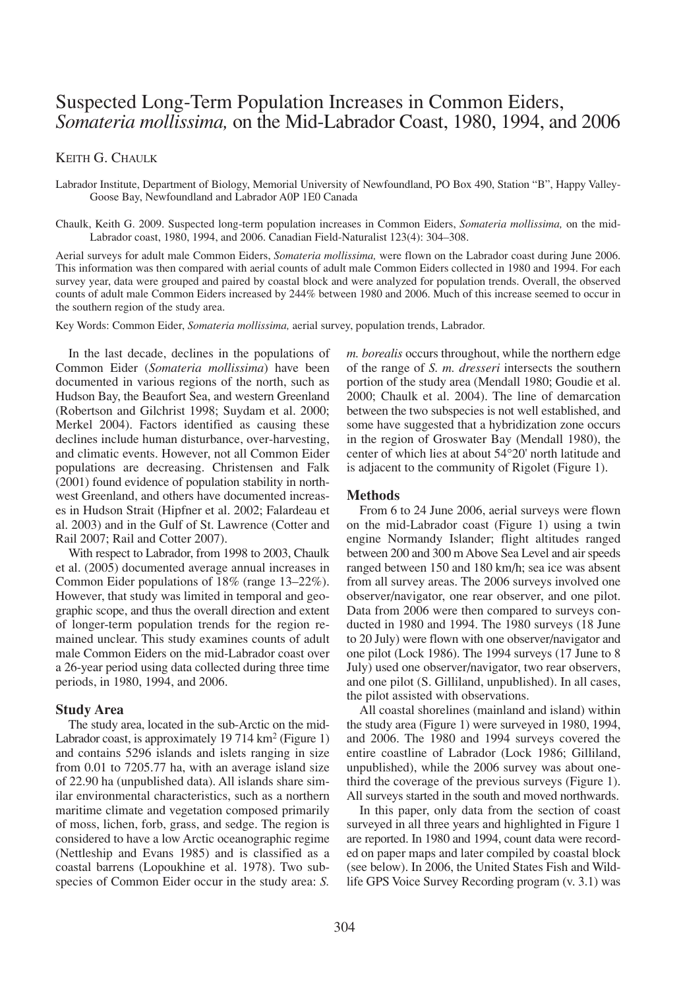# Suspected Long-Term Population Increases in Common Eiders, *Somateria mollissima,* on the Mid-Labrador Coast, 1980, 1994, and 2006

KEITH G. CHAULK

Labrador Institute, Department of Biology, Memorial University of Newfoundland, PO Box 490, Station "B", Happy Valley-Goose Bay, Newfoundland and Labrador A0P 1E0 Canada

Chaulk, Keith G. 2009. Suspected long-term population increases in Common Eiders, *Somateria mollissima,* on the mid-Labrador coast, 1980, 1994, and 2006. Canadian Field-Naturalist 123(4): 304–308.

Aerial surveys for adult male Common Eiders, *Somateria mollissima,* were flown on the Labrador coast during June 2006. This information was then compared with aerial counts of adult male Common Eiders collected in 1980 and 1994. For each survey year, data were grouped and paired by coastal block and were analyzed for population trends. Overall, the observed counts of adult male Common Eiders increased by 244% between 1980 and 2006. Much of this increase seemed to occur in the southern region of the study area.

Key Words: Common Eider, *Somateria mollissima,* aerial survey, population trends, Labrador.

In the last decade, declines in the populations of Common Eider (*Somateria mollissima*) have been documented in various regions of the north, such as Hudson Bay, the Beaufort Sea, and western Greenland (Robertson and Gilchrist 1998; Suydam et al. 2000; Merkel 2004). Factors identified as causing these declines include human disturbance, over-harvesting, and climatic events. However, not all Common Eider populations are decreasing. Christensen and Falk (2001) found evidence of population stability in northwest Greenland, and others have documented increases in Hudson Strait (Hipfner et al. 2002; Falardeau et al. 2003) and in the Gulf of St. Lawrence (Cotter and Rail 2007; Rail and Cotter 2007).

With respect to Labrador, from 1998 to 2003, Chaulk et al. (2005) documented average annual increases in Common Eider populations of 18% (range 13–22%). However, that study was limited in temporal and geographic scope, and thus the overall direction and extent of longer-term population trends for the region remained unclear. This study examines counts of adult male Common Eiders on the mid-Labrador coast over a 26-year period using data collected during three time periods, in 1980, 1994, and 2006.

## **Study Area**

The study area, located in the sub-Arctic on the mid-Labrador coast, is approximately  $19\,714 \,\mathrm{km^2}$  (Figure 1) and contains 5296 islands and islets ranging in size from 0.01 to 7205.77 ha, with an average island size of 22.90 ha (unpublished data). All islands share similar environmental characteristics, such as a northern maritime climate and vegetation composed primarily of moss, lichen, forb, grass, and sedge. The region is considered to have a low Arctic oceanographic regime (Nettleship and Evans 1985) and is classified as a coastal barrens (Lopoukhine et al. 1978). Two subspecies of Common Eider occur in the study area: *S.*

*m. borealis* occurs throughout, while the northern edge of the range of *S. m. dresseri* intersects the southern portion of the study area (Mendall 1980; Goudie et al. 2000; Chaulk et al. 2004). The line of demarcation between the two subspecies is not well established, and some have suggested that a hybridization zone occurs in the region of Groswater Bay (Mendall 1980), the center of which lies at about 54°20' north latitude and is adjacent to the community of Rigolet (Figure 1).

# **Methods**

From 6 to 24 June 2006, aerial surveys were flown on the mid-Labrador coast (Figure 1) using a twin engine Normandy Islander; flight altitudes ranged between 200 and 300 mAbove Sea Level and air speeds ranged between 150 and 180 km/h; sea ice was absent from all survey areas. The 2006 surveys involved one observer/navigator, one rear observer, and one pilot. Data from 2006 were then compared to surveys conducted in 1980 and 1994. The 1980 surveys (18 June to 20 July) were flown with one observer/navigator and one pilot (Lock 1986). The 1994 surveys (17 June to 8 July) used one observer/navigator, two rear observers, and one pilot (S. Gilliland, unpublished). In all cases, the pilot assisted with observations.

All coastal shorelines (mainland and island) within the study area (Figure 1) were surveyed in 1980, 1994, and 2006. The 1980 and 1994 surveys covered the entire coastline of Labrador (Lock 1986; Gilliland, unpublished), while the 2006 survey was about onethird the coverage of the previous surveys (Figure 1). All surveys started in the south and moved northwards.

In this paper, only data from the section of coast surveyed in all three years and highlighted in Figure 1 are reported. In 1980 and 1994, count data were recorded on paper maps and later compiled by coastal block (see below). In 2006, the United States Fish and Wildlife GPS Voice Survey Recording program (v. 3.1) was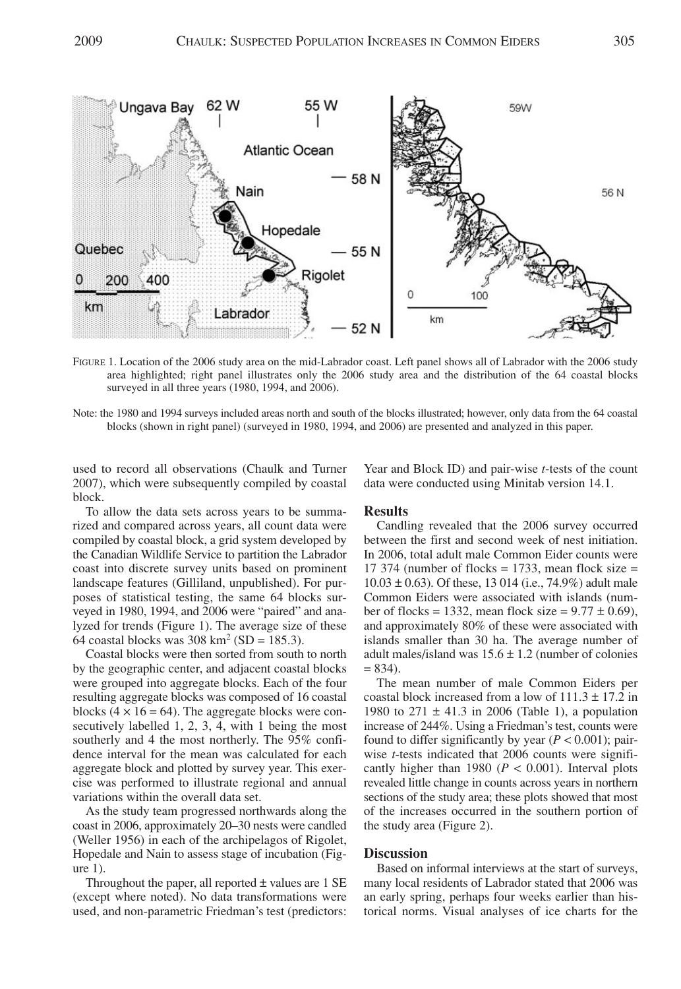

FIGURE 1. Location of the 2006 study area on the mid-Labrador coast. Left panel shows all of Labrador with the 2006 study area highlighted; right panel illustrates only the 2006 study area and the distribution of the 64 coastal blocks surveyed in all three years (1980, 1994, and 2006).

Note: the 1980 and 1994 surveys included areas north and south of the blocks illustrated; however, only data from the 64 coastal blocks (shown in right panel) (surveyed in 1980, 1994, and 2006) are presented and analyzed in this paper.

used to record all observations (Chaulk and Turner 2007), which were subsequently compiled by coastal block.

To allow the data sets across years to be summarized and compared across years, all count data were compiled by coastal block, a grid system developed by the Canadian Wildlife Service to partition the Labrador coast into discrete survey units based on prominent landscape features (Gilliland, unpublished). For purposes of statistical testing, the same 64 blocks surveyed in 1980, 1994, and 2006 were "paired" and analyzed for trends (Figure 1). The average size of these 64 coastal blocks was  $308 \text{ km}^2$  (SD = 185.3).

Coastal blocks were then sorted from south to north by the geographic center, and adjacent coastal blocks were grouped into aggregate blocks. Each of the four resulting aggregate blocks was composed of 16 coastal blocks ( $4 \times 16 = 64$ ). The aggregate blocks were consecutively labelled 1, 2, 3, 4, with 1 being the most southerly and 4 the most northerly. The 95% confidence interval for the mean was calculated for each aggregate block and plotted by survey year. This exercise was performed to illustrate regional and annual variations within the overall data set.

As the study team progressed northwards along the coast in 2006, approximately 20–30 nests were candled (Weller 1956) in each of the archipelagos of Rigolet, Hopedale and Nain to assess stage of incubation (Figure 1).

Throughout the paper, all reported  $\pm$  values are 1 SE (except where noted). No data transformations were used, and non-parametric Friedman's test (predictors:

Year and Block ID) and pair-wise *t*-tests of the count data were conducted using Minitab version 14.1.

# **Results**

Candling revealed that the 2006 survey occurred between the first and second week of nest initiation. In 2006, total adult male Common Eider counts were 17 374 (number of flocks  $= 1733$ , mean flock size  $=$  $10.03 \pm 0.63$ ). Of these, 13 014 (i.e., 74.9%) adult male Common Eiders were associated with islands (number of flocks = 1332, mean flock size =  $9.77 \pm 0.69$ ). and approximately 80% of these were associated with islands smaller than 30 ha. The average number of adult males/island was  $15.6 \pm 1.2$  (number of colonies  $= 834$ ).

The mean number of male Common Eiders per coastal block increased from a low of  $111.3 \pm 17.2$  in 1980 to  $271 \pm 41.3$  in 2006 (Table 1), a population increase of 244%. Using a Friedman's test, counts were found to differ significantly by year  $(P < 0.001)$ ; pairwise *t*-tests indicated that 2006 counts were significantly higher than 1980 ( $P < 0.001$ ). Interval plots revealed little change in counts across years in northern sections of the study area; these plots showed that most of the increases occurred in the southern portion of the study area (Figure 2).

#### **Discussion**

Based on informal interviews at the start of surveys, many local residents of Labrador stated that 2006 was an early spring, perhaps four weeks earlier than historical norms. Visual analyses of ice charts for the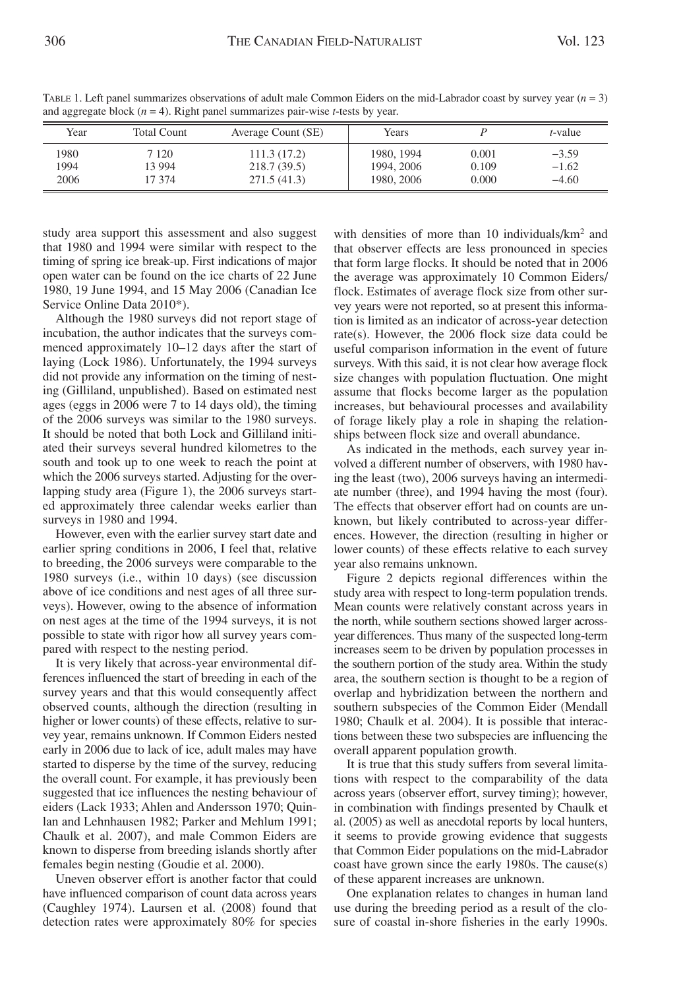| Year                 | Total Count                | Average Count (SE)                        | Years                                  |                         | <i>t</i> -value               |
|----------------------|----------------------------|-------------------------------------------|----------------------------------------|-------------------------|-------------------------------|
| 1980<br>1994<br>2006 | 7 1 2 0<br>13 994<br>17374 | 111.3(17.2)<br>218.7(39.5)<br>271.5(41.3) | 1980, 1994<br>1994, 2006<br>1980, 2006 | 0.001<br>0.109<br>0.000 | $-3.59$<br>$-1.62$<br>$-4.60$ |

TABLE 1. Left panel summarizes observations of adult male Common Eiders on the mid-Labrador coast by survey year (*n* = 3) and aggregate block (*n* = 4). Right panel summarizes pair-wise *t*-tests by year.

study area support this assessment and also suggest that 1980 and 1994 were similar with respect to the timing of spring ice break-up. First indications of major open water can be found on the ice charts of 22 June 1980, 19 June 1994, and 15 May 2006 (Canadian Ice Service Online Data 2010\*).

Although the 1980 surveys did not report stage of incubation, the author indicates that the surveys commenced approximately 10–12 days after the start of laying (Lock 1986). Unfortunately, the 1994 surveys did not provide any information on the timing of nesting (Gilliland, unpublished). Based on estimated nest ages (eggs in 2006 were 7 to 14 days old), the timing of the 2006 surveys was similar to the 1980 surveys. It should be noted that both Lock and Gilliland initiated their surveys several hundred kilometres to the south and took up to one week to reach the point at which the 2006 surveys started. Adjusting for the overlapping study area (Figure 1), the 2006 surveys started approximately three calendar weeks earlier than surveys in 1980 and 1994.

However, even with the earlier survey start date and earlier spring conditions in 2006, I feel that, relative to breeding, the 2006 surveys were comparable to the 1980 surveys (i.e., within 10 days) (see discussion above of ice conditions and nest ages of all three surveys). However, owing to the absence of information on nest ages at the time of the 1994 surveys, it is not possible to state with rigor how all survey years compared with respect to the nesting period.

It is very likely that across-year environmental differences influenced the start of breeding in each of the survey years and that this would consequently affect observed counts, although the direction (resulting in higher or lower counts) of these effects, relative to survey year, remains unknown. If Common Eiders nested early in 2006 due to lack of ice, adult males may have started to disperse by the time of the survey, reducing the overall count. For example, it has previously been suggested that ice influences the nesting behaviour of eiders (Lack 1933; Ahlen and Andersson 1970; Quinlan and Lehnhausen 1982; Parker and Mehlum 1991; Chaulk et al. 2007), and male Common Eiders are known to disperse from breeding islands shortly after females begin nesting (Goudie et al. 2000).

Uneven observer effort is another factor that could have influenced comparison of count data across years (Caughley 1974). Laursen et al. (2008) found that detection rates were approximately 80% for species with densities of more than 10 individuals/km<sup>2</sup> and that observer effects are less pronounced in species that form large flocks. It should be noted that in 2006 the average was approximately 10 Common Eiders/ flock. Estimates of average flock size from other survey years were not reported, so at present this information is limited as an indicator of across-year detection rate(s). However, the 2006 flock size data could be useful comparison information in the event of future surveys. With this said, it is not clear how average flock size changes with population fluctuation. One might assume that flocks become larger as the population increases, but behavioural processes and availability of forage likely play a role in shaping the relationships between flock size and overall abundance.

As indicated in the methods, each survey year involved a different number of observers, with 1980 having the least (two), 2006 surveys having an intermediate number (three), and 1994 having the most (four). The effects that observer effort had on counts are unknown, but likely contributed to across-year differences. However, the direction (resulting in higher or lower counts) of these effects relative to each survey year also remains unknown.

Figure 2 depicts regional differences within the study area with respect to long-term population trends. Mean counts were relatively constant across years in the north, while southern sections showed larger acrossyear differences. Thus many of the suspected long-term increases seem to be driven by population processes in the southern portion of the study area. Within the study area, the southern section is thought to be a region of overlap and hybridization between the northern and southern subspecies of the Common Eider (Mendall 1980; Chaulk et al. 2004). It is possible that interactions between these two subspecies are influencing the overall apparent population growth.

It is true that this study suffers from several limitations with respect to the comparability of the data across years (observer effort, survey timing); however, in combination with findings presented by Chaulk et al. (2005) as well as anecdotal reports by local hunters, it seems to provide growing evidence that suggests that Common Eider populations on the mid-Labrador coast have grown since the early 1980s. The cause(s) of these apparent increases are unknown.

One explanation relates to changes in human land use during the breeding period as a result of the closure of coastal in-shore fisheries in the early 1990s.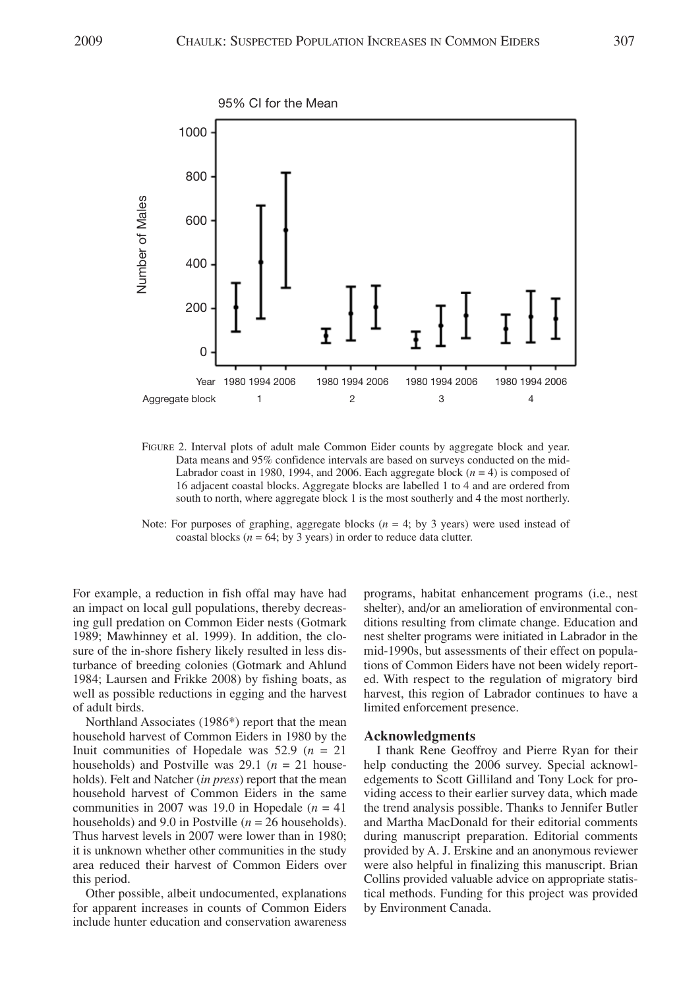

FIGURE 2. Interval plots of adult male Common Eider counts by aggregate block and year. Data means and 95% confidence intervals are based on surveys conducted on the mid-Labrador coast in 1980, 1994, and 2006. Each aggregate block  $(n = 4)$  is composed of 16 adjacent coastal blocks. Aggregate blocks are labelled 1 to 4 and are ordered from south to north, where aggregate block 1 is the most southerly and 4 the most northerly.

Note: For purposes of graphing, aggregate blocks ( $n = 4$ ; by 3 years) were used instead of coastal blocks ( $n = 64$ ; by 3 years) in order to reduce data clutter.

For example, a reduction in fish offal may have had an impact on local gull populations, thereby decreasing gull predation on Common Eider nests (Gotmark 1989; Mawhinney et al. 1999). In addition, the closure of the in-shore fishery likely resulted in less disturbance of breeding colonies (Gotmark and Ahlund 1984; Laursen and Frikke 2008) by fishing boats, as well as possible reductions in egging and the harvest of adult birds.

Northland Associates (1986\*) report that the mean household harvest of Common Eiders in 1980 by the Inuit communities of Hopedale was  $52.9$  ( $n = 21$ ) households) and Postville was 29.1 (*n* = 21 households). Felt and Natcher (*in press*) report that the mean household harvest of Common Eiders in the same communities in 2007 was 19.0 in Hopedale  $(n = 41)$ households) and 9.0 in Postville (*n* = 26 households). Thus harvest levels in 2007 were lower than in 1980; it is unknown whether other communities in the study area reduced their harvest of Common Eiders over this period.

Other possible, albeit undocumented, explanations for apparent increases in counts of Common Eiders include hunter education and conservation awareness programs, habitat enhancement programs (i.e., nest shelter), and/or an amelioration of environmental conditions resulting from climate change. Education and nest shelter programs were initiated in Labrador in the mid-1990s, but assessments of their effect on populations of Common Eiders have not been widely reported. With respect to the regulation of migratory bird harvest, this region of Labrador continues to have a limited enforcement presence.

## **Acknowledgments**

I thank Rene Geoffroy and Pierre Ryan for their help conducting the 2006 survey. Special acknowledgements to Scott Gilliland and Tony Lock for providing access to their earlier survey data, which made the trend analysis possible. Thanks to Jennifer Butler and Martha MacDonald for their editorial comments during manuscript preparation. Editorial comments provided by A. J. Erskine and an anonymous reviewer were also helpful in finalizing this manuscript. Brian Collins provided valuable advice on appropriate statistical methods. Funding for this project was provided by Environment Canada.